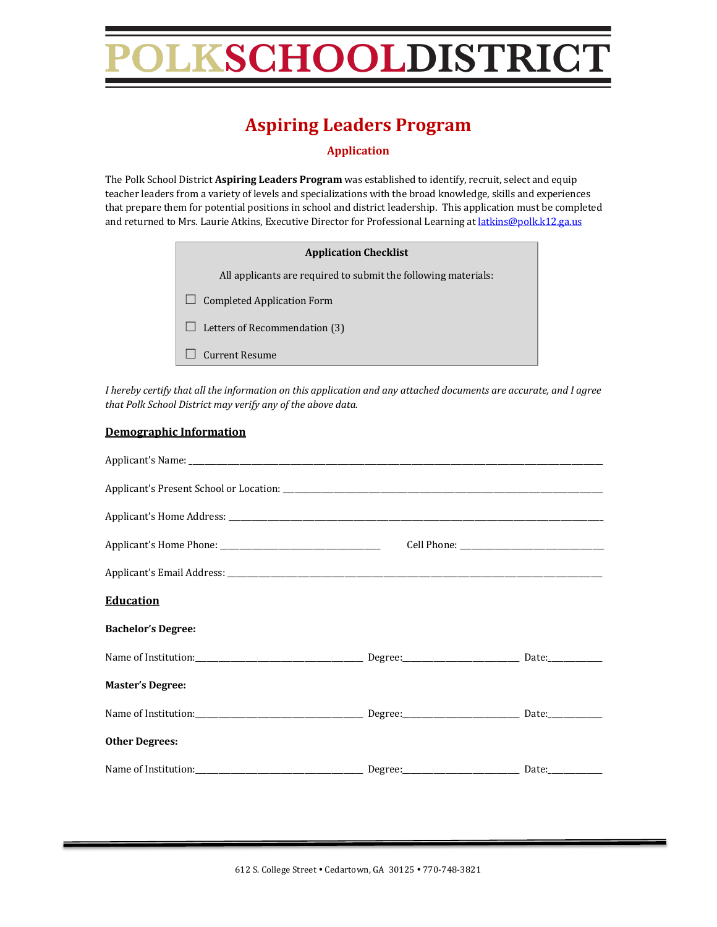# KSCHOOLDISTRICT

### **Aspiring Leaders Program**

**Application**

The Polk School District Aspiring Leaders Program was established to identify, recruit, select and equip teacher leaders from a variety of levels and specializations with the broad knowledge, skills and experiences that prepare them for potential positions in school and district leadership. This application must be completed and returned to Mrs. Laurie Atkins, Executive Director for Professional Learning at latkins@polk.k12.ga.us

| <b>Application Checklist</b>                                   |
|----------------------------------------------------------------|
| All applicants are required to submit the following materials: |
| <b>Completed Application Form</b>                              |
| Letters of Recommendation (3)                                  |
| Current Resume                                                 |

*I* hereby certify that all the information on this application and any attached documents are accurate, and I agree that Polk School District may verify any of the above data.

#### **Demographic Information**

| <b>Education</b>                     |                                                                                                                                                                                                                                |
|--------------------------------------|--------------------------------------------------------------------------------------------------------------------------------------------------------------------------------------------------------------------------------|
| <b>Bachelor's Degree:</b>            |                                                                                                                                                                                                                                |
|                                      |                                                                                                                                                                                                                                |
| <b>Master's Degree:</b>              |                                                                                                                                                                                                                                |
|                                      |                                                                                                                                                                                                                                |
| <b>Other Degrees:</b>                |                                                                                                                                                                                                                                |
| Name of Institution: Degree: Degree: | Date: the control of the control of the control of the control of the control of the control of the control of the control of the control of the control of the control of the control of the control of the control of the co |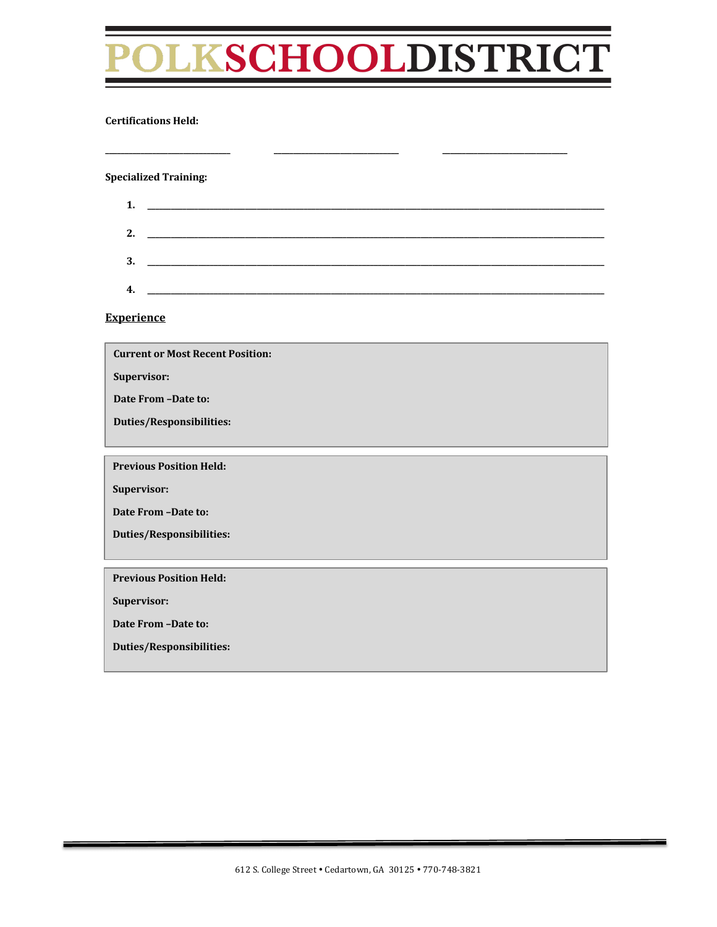# LKSCHOOLDISTRICT

**\_\_\_\_\_\_\_\_\_\_\_\_\_\_\_\_\_\_\_\_\_\_\_\_\_\_\_\_\_\_\_\_ \_\_\_\_\_\_\_\_\_\_\_\_\_\_\_\_\_\_\_\_\_\_\_\_\_\_\_\_\_\_\_\_ \_\_\_\_\_\_\_\_\_\_\_\_\_\_\_\_\_\_\_\_\_\_\_\_\_\_\_\_\_\_\_\_**

#### **Certifications Held:**

**Specialized Training:**

| 1. |                                                                                                                                                                                                                                                                                                                                                                                                                     |
|----|---------------------------------------------------------------------------------------------------------------------------------------------------------------------------------------------------------------------------------------------------------------------------------------------------------------------------------------------------------------------------------------------------------------------|
| 2. |                                                                                                                                                                                                                                                                                                                                                                                                                     |
| 3. |                                                                                                                                                                                                                                                                                                                                                                                                                     |
| 4. | $\overline{\phantom{a}}$ and $\overline{\phantom{a}}$ and $\overline{\phantom{a}}$ and $\overline{\phantom{a}}$ and $\overline{\phantom{a}}$ and $\overline{\phantom{a}}$ and $\overline{\phantom{a}}$ and $\overline{\phantom{a}}$ and $\overline{\phantom{a}}$ and $\overline{\phantom{a}}$ and $\overline{\phantom{a}}$ and $\overline{\phantom{a}}$ and $\overline{\phantom{a}}$ and $\overline{\phantom{a}}$ a |

**Experience**

**Current or Most Recent Position:** 

**Supervisor:**

**Date From -Date to:** 

**Duties/Responsibilities:**

**Previous Position Held:** 

**Supervisor:**

Date From -Date to:

**Duties/Responsibilities:**

**Previous Position Held:** 

**Supervisor:**

**Date From -Date to:** 

**Duties/Responsibilities:**